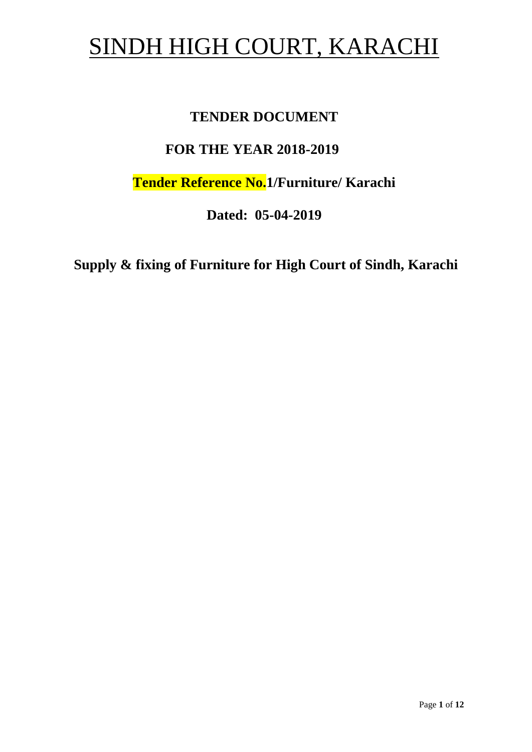# SINDH HIGH COURT, KARACHI

# **TENDER DOCUMENT**

# **FOR THE YEAR 2018-2019**

**Tender Reference No.1/Furniture/ Karachi**

**Dated: 05-04-2019**

**Supply & fixing of Furniture for High Court of Sindh, Karachi**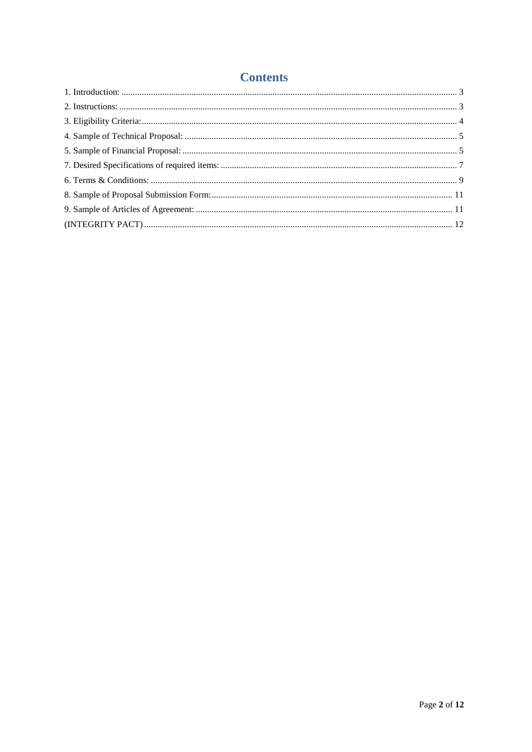# **Contents**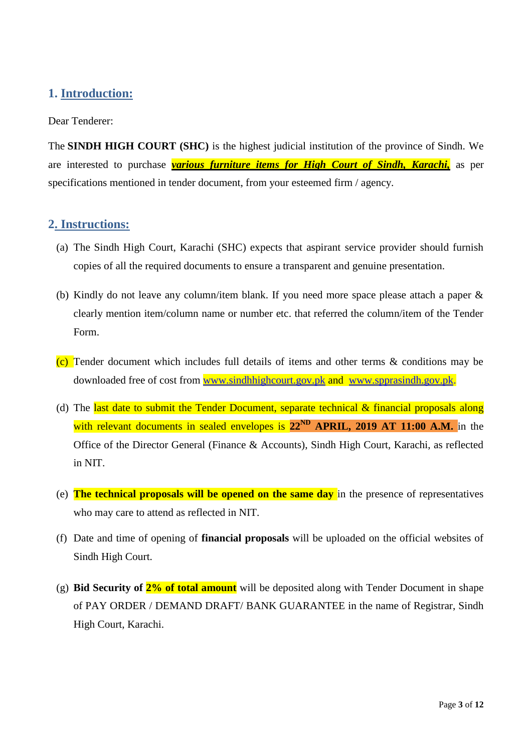# <span id="page-2-0"></span>**1. Introduction:**

Dear Tenderer:

The **SINDH HIGH COURT (SHC)** is the highest judicial institution of the province of [Sindh.](https://en.wikipedia.org/wiki/Sindh) We are interested to purchase *various furniture items for High Court of Sindh, Karachi,* as per specifications mentioned in tender document, from your esteemed firm / agency.

## <span id="page-2-1"></span>**2. Instructions:**

- (a) The Sindh High Court, Karachi (SHC) expects that aspirant service provider should furnish copies of all the required documents to ensure a transparent and genuine presentation.
- (b) Kindly do not leave any column/item blank. If you need more space please attach a paper & clearly mention item/column name or number etc. that referred the column/item of the Tender Form.
- (c) Tender document which includes full details of items and other terms & conditions may be downloaded free of cost from [www.sindhhighcourt.gov.pk](http://www.sindhhighcourt.gov.pk/) and [www.spprasindh.gov.pk.](http://www.spprasindh.gov.pk/)
- (d) The last date to submit the Tender Document, separate technical  $\&$  financial proposals along with relevant documents in sealed envelopes is 22<sup>ND</sup> APRIL, 2019 AT 11:00 A.M. in the Office of the Director General (Finance & Accounts), Sindh High Court, Karachi, as reflected in NIT.
- (e) **The technical proposals will be opened on the same day** in the presence of representatives who may care to attend as reflected in NIT.
- (f) Date and time of opening of **financial proposals** will be uploaded on the official websites of Sindh High Court.
- (g) **Bid Security of 2% of total amount** will be deposited along with Tender Document in shape of PAY ORDER / DEMAND DRAFT/ BANK GUARANTEE in the name of Registrar, Sindh High Court, Karachi.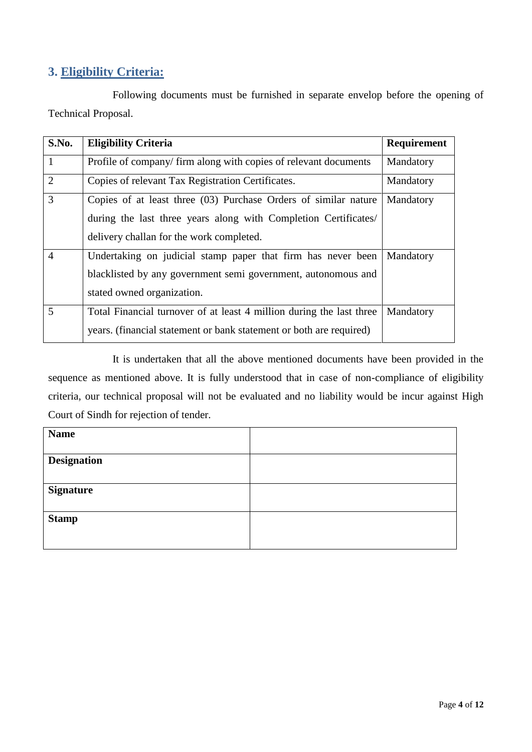# <span id="page-3-0"></span>**3. Eligibility Criteria:**

Following documents must be furnished in separate envelop before the opening of Technical Proposal.

| S.No.          | <b>Eligibility Criteria</b>                                          | Requirement |
|----------------|----------------------------------------------------------------------|-------------|
| $\mathbf{1}$   | Profile of company/firm along with copies of relevant documents      | Mandatory   |
| 2              | Copies of relevant Tax Registration Certificates.                    | Mandatory   |
| 3              | Copies of at least three (03) Purchase Orders of similar nature      | Mandatory   |
|                | during the last three years along with Completion Certificates/      |             |
|                | delivery challan for the work completed.                             |             |
| $\overline{4}$ | Undertaking on judicial stamp paper that firm has never been         | Mandatory   |
|                | blacklisted by any government semi government, autonomous and        |             |
|                | stated owned organization.                                           |             |
| 5              | Total Financial turnover of at least 4 million during the last three | Mandatory   |
|                | years. (financial statement or bank statement or both are required)  |             |

It is undertaken that all the above mentioned documents have been provided in the sequence as mentioned above. It is fully understood that in case of non-compliance of eligibility criteria, our technical proposal will not be evaluated and no liability would be incur against High Court of Sindh for rejection of tender.

<span id="page-3-1"></span>

| <b>Name</b>        |  |
|--------------------|--|
| <b>Designation</b> |  |
| <b>Signature</b>   |  |
| <b>Stamp</b>       |  |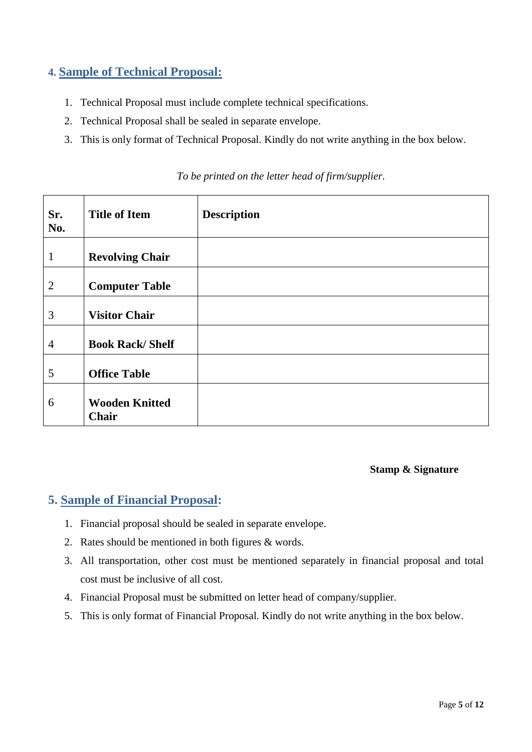# **4. Sample of Technical Proposal:**

- 1. Technical Proposal must include complete technical specifications.
- 2. Technical Proposal shall be sealed in separate envelope.
- 3. This is only format of Technical Proposal. Kindly do not write anything in the box below.

| Sr.<br>No.     | <b>Title of Item</b>           | <b>Description</b> |
|----------------|--------------------------------|--------------------|
| $\mathbf{1}$   | <b>Revolving Chair</b>         |                    |
| $\overline{2}$ | <b>Computer Table</b>          |                    |
| 3              | <b>Visitor Chair</b>           |                    |
| $\overline{4}$ | <b>Book Rack/Shelf</b>         |                    |
| 5              | <b>Office Table</b>            |                    |
| 6              | <b>Wooden Knitted</b><br>Chair |                    |

*To be printed on the letter head of firm/supplier.*

### **Stamp & Signature**

## <span id="page-4-0"></span>**5. Sample of Financial Proposal:**

- 1. Financial proposal should be sealed in separate envelope.
- 2. Rates should be mentioned in both figures & words.
- 3. All transportation, other cost must be mentioned separately in financial proposal and total cost must be inclusive of all cost.
- 4. Financial Proposal must be submitted on letter head of company/supplier.
- 5. This is only format of Financial Proposal. Kindly do not write anything in the box below.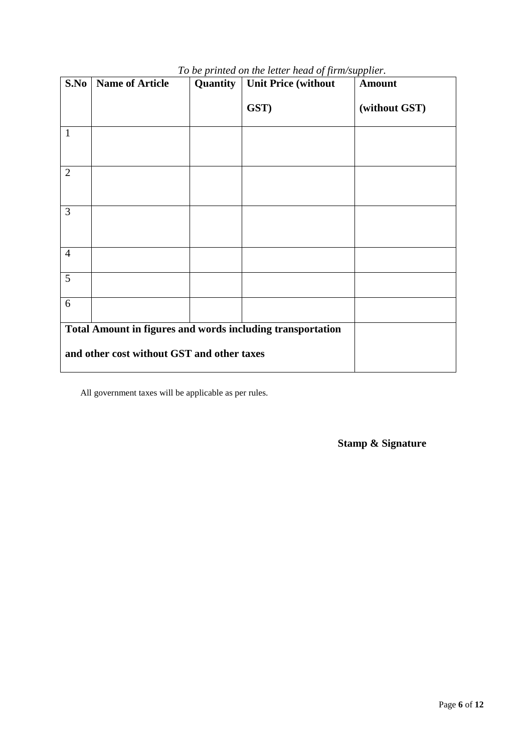| S.No                                                       | <b>Name of Article</b>                     | Quantity | <b>Unit Price (without</b> | <b>Amount</b> |
|------------------------------------------------------------|--------------------------------------------|----------|----------------------------|---------------|
|                                                            |                                            |          | GST)                       | (without GST) |
| $\mathbf{1}$                                               |                                            |          |                            |               |
| $\overline{2}$                                             |                                            |          |                            |               |
| 3                                                          |                                            |          |                            |               |
| $\overline{4}$                                             |                                            |          |                            |               |
| 5                                                          |                                            |          |                            |               |
| 6                                                          |                                            |          |                            |               |
| Total Amount in figures and words including transportation |                                            |          |                            |               |
|                                                            | and other cost without GST and other taxes |          |                            |               |

# *To be printed on the letter head of firm/supplier.*

All government taxes will be applicable as per rules.

**Stamp & Signature**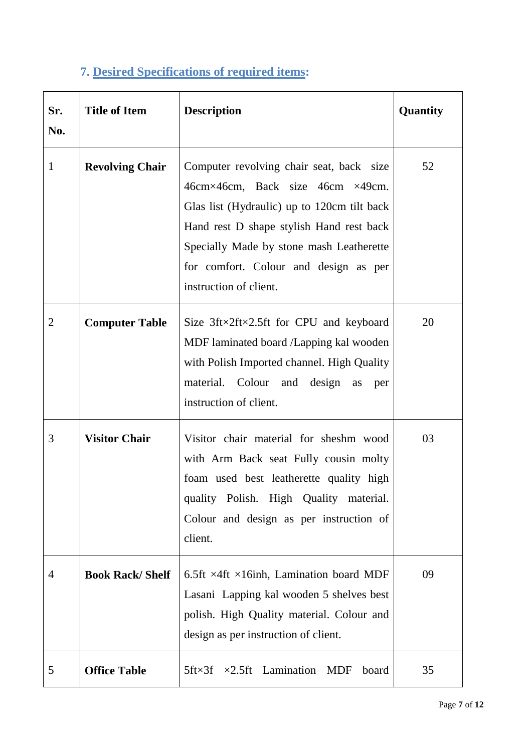# **7. Desired Specifications of required items:**

<span id="page-6-0"></span>

| Sr.<br>No.     | <b>Title of Item</b>   | <b>Description</b>                                                                                                                                                                                                                                                                     | Quantity |
|----------------|------------------------|----------------------------------------------------------------------------------------------------------------------------------------------------------------------------------------------------------------------------------------------------------------------------------------|----------|
| $\mathbf{1}$   | <b>Revolving Chair</b> | Computer revolving chair seat, back size<br>46cm×46cm, Back size 46cm ×49cm.<br>Glas list (Hydraulic) up to 120cm tilt back<br>Hand rest D shape stylish Hand rest back<br>Specially Made by stone mash Leatherette<br>for comfort. Colour and design as per<br>instruction of client. | 52       |
| $\overline{2}$ | <b>Computer Table</b>  | Size $3$ ft×2ft×2.5ft for CPU and keyboard<br>MDF laminated board /Lapping kal wooden<br>with Polish Imported channel. High Quality<br>material. Colour and<br>design<br>as<br>per<br>instruction of client.                                                                           | 20       |
| 3              | <b>Visitor Chair</b>   | Visitor chair material for sheshm wood<br>with Arm Back seat Fully cousin molty<br>foam used best leatherette quality high<br>quality Polish. High Quality material.<br>Colour and design as per instruction of<br>client.                                                             | 03       |
| 4              | <b>Book Rack/Shelf</b> | 6.5ft $\times$ 4ft $\times$ 16inh, Lamination board MDF<br>Lasani Lapping kal wooden 5 shelves best<br>polish. High Quality material. Colour and<br>design as per instruction of client.                                                                                               | 09       |
| 5              | <b>Office Table</b>    | $5$ ft $\times$ 3f<br>$\times 2.5$ ft Lamination<br>MDF<br>board                                                                                                                                                                                                                       | 35       |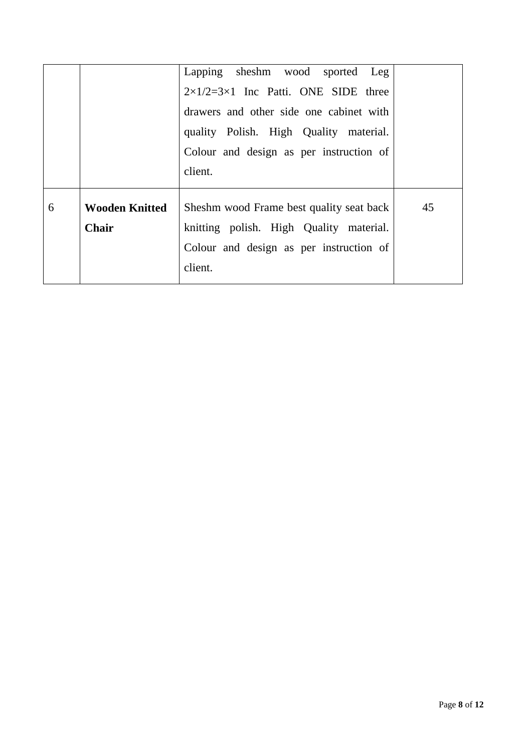|   |                       | Lapping sheshm wood sported Leg<br>$2\times1/2=3\times1$ Inc Patti. ONE SIDE three |    |
|---|-----------------------|------------------------------------------------------------------------------------|----|
|   |                       | drawers and other side one cabinet with<br>quality Polish. High Quality material.  |    |
|   |                       | Colour and design as per instruction of                                            |    |
|   |                       | client.                                                                            |    |
| 6 | <b>Wooden Knitted</b> | Sheshm wood Frame best quality seat back                                           | 45 |
|   | <b>Chair</b>          | knitting polish. High Quality material.                                            |    |
|   |                       | Colour and design as per instruction of                                            |    |
|   |                       | client.                                                                            |    |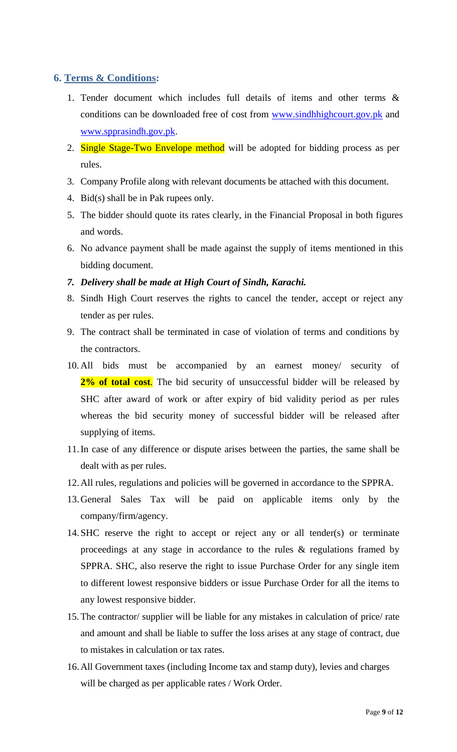# <span id="page-8-0"></span>**6. Terms & Conditions:**

- 1. Tender document which includes full details of items and other terms & conditions can be downloaded free of cost from [www.sindhhighcourt.gov.pk](http://www.sindhhighcourt.gov.pk/) and [www.spprasindh.gov.pk.](http://www.spprasindh.gov.pk/)
- 2. Single Stage-Two Envelope method will be adopted for bidding process as per rules.
- 3. Company Profile along with relevant documents be attached with this document.
- 4. Bid(s) shall be in Pak rupees only.
- 5. The bidder should quote its rates clearly, in the Financial Proposal in both figures and words.
- 6. No advance payment shall be made against the supply of items mentioned in this bidding document.
- *7. Delivery shall be made at High Court of Sindh, Karachi.*
- 8. Sindh High Court reserves the rights to cancel the tender, accept or reject any tender as per rules.
- 9. The contract shall be terminated in case of violation of terms and conditions by the contractors.
- 10. All bids must be accompanied by an earnest money/ security of 2% of total cost. The bid security of unsuccessful bidder will be released by SHC after award of work or after expiry of bid validity period as per rules whereas the bid security money of successful bidder will be released after supplying of items.
- 11.In case of any difference or dispute arises between the parties, the same shall be dealt with as per rules.
- 12.All rules, regulations and policies will be governed in accordance to the SPPRA.
- 13.General Sales Tax will be paid on applicable items only by the company/firm/agency.
- 14.SHC reserve the right to accept or reject any or all tender(s) or terminate proceedings at any stage in accordance to the rules & regulations framed by SPPRA. SHC, also reserve the right to issue Purchase Order for any single item to different lowest responsive bidders or issue Purchase Order for all the items to any lowest responsive bidder.
- 15. The contractor/ supplier will be liable for any mistakes in calculation of price/ rate and amount and shall be liable to suffer the loss arises at any stage of contract, due to mistakes in calculation or tax rates.
- 16.All Government taxes (including Income tax and stamp duty), levies and charges will be charged as per applicable rates / Work Order.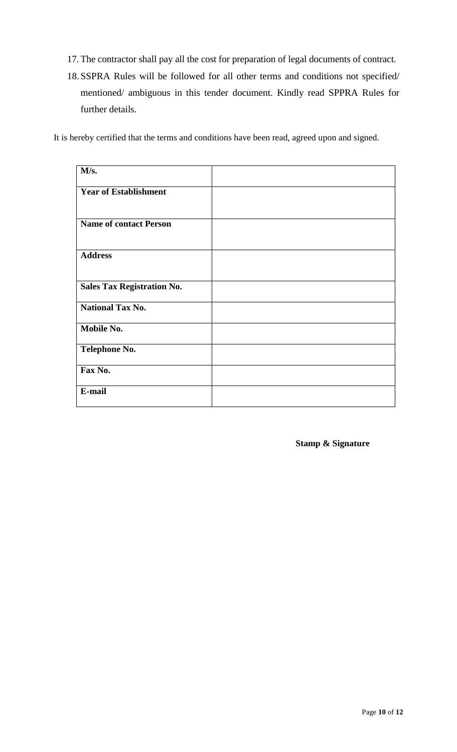- 17. The contractor shall pay all the cost for preparation of legal documents of contract.
- 18.SSPRA Rules will be followed for all other terms and conditions not specified/ mentioned/ ambiguous in this tender document. Kindly read SPPRA Rules for further details.

It is hereby certified that the terms and conditions have been read, agreed upon and signed.

| M/s.                              |  |
|-----------------------------------|--|
| <b>Year of Establishment</b>      |  |
| <b>Name of contact Person</b>     |  |
| <b>Address</b>                    |  |
| <b>Sales Tax Registration No.</b> |  |
| <b>National Tax No.</b>           |  |
| Mobile No.                        |  |
| <b>Telephone No.</b>              |  |
| Fax No.                           |  |
| E-mail                            |  |

**Stamp & Signature**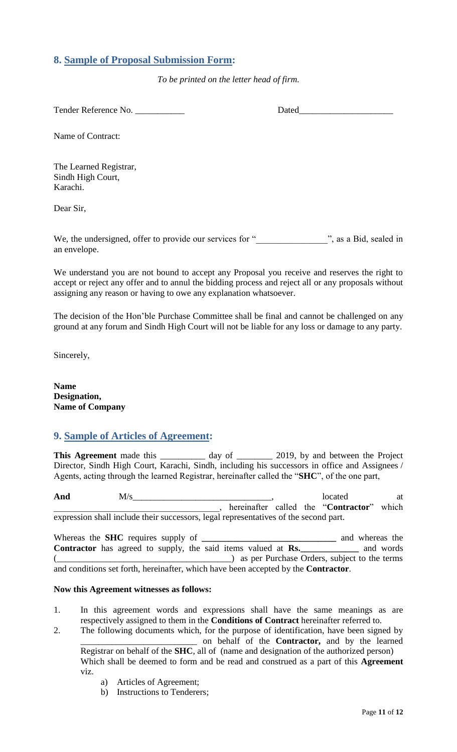# <span id="page-10-0"></span>**8. Sample of Proposal Submission Form:**

*To be printed on the letter head of firm.*

Tender Reference No. 2008 and 2008 Dated

Name of Contract:

The Learned Registrar, Sindh High Court, Karachi.

Dear Sir,

We, the undersigned, offer to provide our services for "<br>
", as a Bid, sealed in an envelope.

<span id="page-10-1"></span>We understand you are not bound to accept any Proposal you receive and reserves the right to accept or reject any offer and to annul the bidding process and reject all or any proposals without assigning any reason or having to owe any explanation whatsoever.

The decision of the Hon"ble Purchase Committee shall be final and cannot be challenged on any ground at any forum and Sindh High Court will not be liable for any loss or damage to any party.

Sincerely,

**Name Designation, Name of Company**

## **9. Sample of Articles of Agreement:**

This Agreement made this \_\_\_\_\_\_\_\_\_\_ day of \_\_\_\_\_\_\_\_ 2019, by and between the Project Director, Sindh High Court, Karachi, Sindh, including his successors in office and Assignees / Agents, acting through the learned Registrar, hereinafter called the "**SHC**", of the one part,

And  $M/s$  at  $M/s$  at  $M/s$  at  $M/s$  at  $M$ \_\_\_\_\_\_\_\_\_\_\_\_\_\_\_\_\_\_\_\_\_\_\_\_\_\_\_\_\_\_\_\_\_\_\_\_\_, hereinafter called the "**Contractor**" which expression shall include their successors, legal representatives of the second part.

Whereas the **SHC** requires supply of **\_\_\_\_\_\_\_\_\_\_\_\_\_\_\_\_\_\_\_\_\_\_\_\_\_\_\_\_\_\_** and whereas the **Contractor** has agreed to supply, the said items valued at **Rs.\_\_\_\_\_\_\_\_\_\_\_\_\_** and words (exception of the terms) as per Purchase Orders, subject to the terms and conditions set forth, hereinafter, which have been accepted by the **Contractor**.

#### **Now this Agreement witnesses as follows:**

- 1. In this agreement words and expressions shall have the same meanings as are respectively assigned to them in the **Conditions of Contract** hereinafter referred to.
- 2. The following documents which, for the purpose of identification, have been signed by \_\_\_\_\_\_\_\_\_\_\_\_\_\_\_\_\_\_\_\_\_\_\_\_\_\_ on behalf of the **Contractor,** and by the learned Registrar on behalf of the **SHC**, all of (name and designation of the authorized person) Which shall be deemed to form and be read and construed as a part of this **Agreement**  viz.
	- a) Articles of Agreement;
	- b) Instructions to Tenderers;